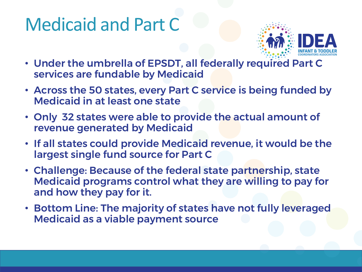## Medicaid and Part C



- Under the umbrella of EPSDT, all federally required Part C services are fundable by Medicaid
- Across the 50 states, every Part C service is being funded by Medicaid in at least one state
- Only 32 states were able to provide the actual amount of revenue generated by Medicaid
- If all states could provide Medicaid revenue, it would be the largest single fund source for Part C
- Challenge: Because of the federal state partnership, state Medicaid programs control what they are willing to pay for and how they pay for it.
- Bottom Line: The majority of states have not fully leveraged Medicaid as a viable payment source